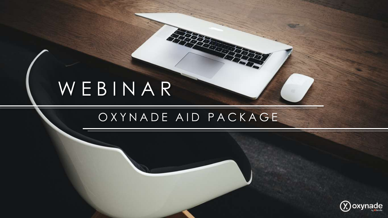# WEBINAR

## OXYNADE AID PACKAGE

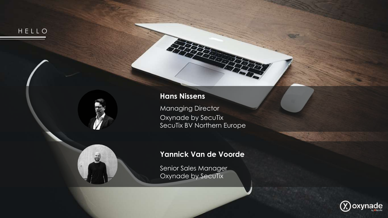

### **Hans Nissens**

[Managing](https://www.linkedin.com/in/hansnissens/) Director Oxynade by SecuTix SecuTix BV Northern Europe

### **[Yannick](https://www.linkedin.com/in/yvandevoorde/) Van de Voorde**

Senior Sales Manager Oxynade by SecuTix

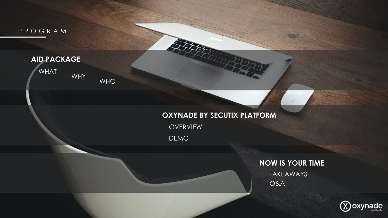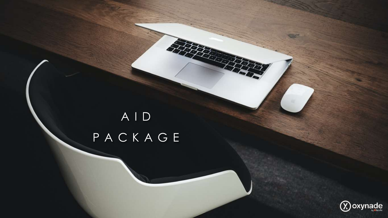# AID PACKAGE



**START OF** 

E É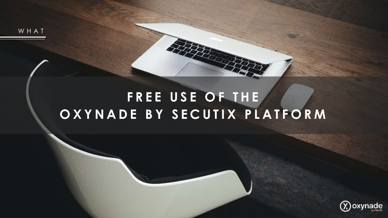WHAT

## **FREE USE OF THE OXYNADE BY SECUTIX PLATFORM**

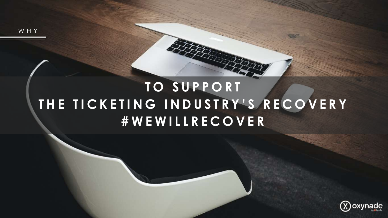WHY

## **TO SUPPORT THE TICKETING INDUSTRY'S RECOVERY #WEWILLRECOVER**

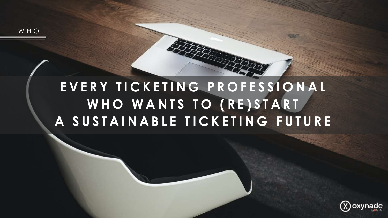WHO

## **EVERY TICKETING PROFESSIONAL WHO WANTS TO (RE)START A SUSTAINABLE TICKETING FUTURE**

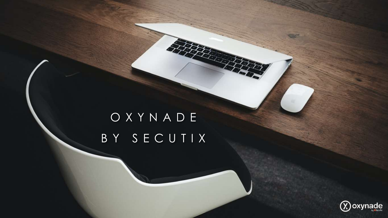# OXYNADE BY SECUTIX

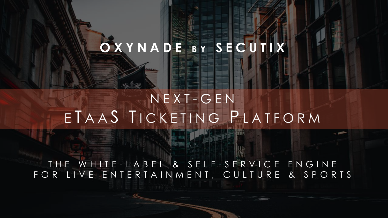## **OXYNADE B Y SECUTIX**

## NEXT - GEN ETAAS TICKETING PLATFORM

THE WHITE-LABEL & SELF-SERVICE ENGINE FOR LIVE ENTERTAINMENT, CULTURE & SPORTS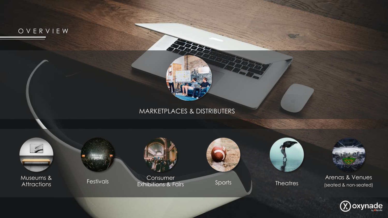

 $\bigcirc$  oxynade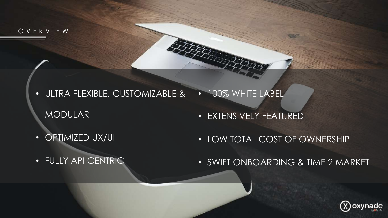OVERVIEW

- ULTRA FLEXIBLE, CUSTOMIZABLE & MODULAR • 100% WHITE LABEL
	- EXTENSIVELY FEATURED

• OPTIMIZED UX/UI

• LOW TOTAL COST OF OWNERSHIP

**• FULLY API CENTRIC** 

• SWIFT ONBOARDING & TIME 2 MARKET

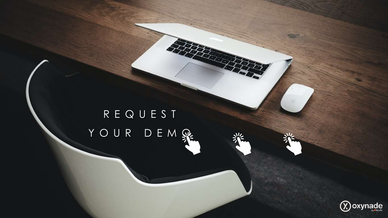# REQUEST YOUR DEMRE



**START OF**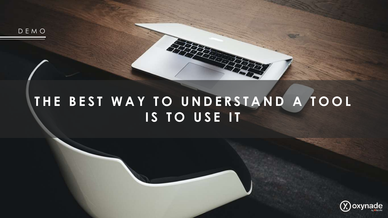DEMO

## **THE BEST WAY TO UNDERSTAND A TOOL IS TO USE IT**

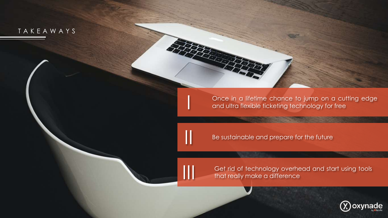TAKEAWAYS

Once in a lifetime chance to jump on a cutting edge and ultra flexible ticketing technology for free

Be sustainable and prepare for the future

III

I

II

Get rid of technology overhead and start using tools that really make a difference

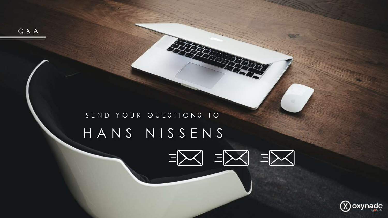

### [HANS NISSENS](mailto:hans.nissens@oxynade.com)  $\equiv \Join$  $\exists \times$  $\equiv$

## SEND YOUR QUESTIONS TO

Q&A